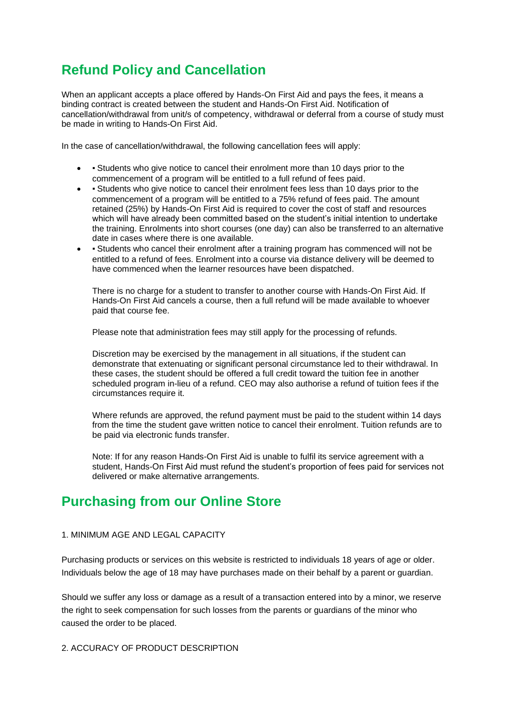# **Refund Policy and Cancellation**

When an applicant accepts a place offered by Hands-On First Aid and pays the fees, it means a binding contract is created between the student and Hands-On First Aid. Notification of cancellation/withdrawal from unit/s of competency, withdrawal or deferral from a course of study must be made in writing to Hands-On First Aid.

In the case of cancellation/withdrawal, the following cancellation fees will apply:

- • Students who give notice to cancel their enrolment more than 10 days prior to the commencement of a program will be entitled to a full refund of fees paid.
- • Students who give notice to cancel their enrolment fees less than 10 days prior to the commencement of a program will be entitled to a 75% refund of fees paid. The amount retained (25%) by Hands-On First Aid is required to cover the cost of staff and resources which will have already been committed based on the student's initial intention to undertake the training. Enrolments into short courses (one day) can also be transferred to an alternative date in cases where there is one available.
- Students who cancel their enrolment after a training program has commenced will not be entitled to a refund of fees. Enrolment into a course via distance delivery will be deemed to have commenced when the learner resources have been dispatched.

There is no charge for a student to transfer to another course with Hands-On First Aid. If Hands-On First Aid cancels a course, then a full refund will be made available to whoever paid that course fee.

Please note that administration fees may still apply for the processing of refunds.

Discretion may be exercised by the management in all situations, if the student can demonstrate that extenuating or significant personal circumstance led to their withdrawal. In these cases, the student should be offered a full credit toward the tuition fee in another scheduled program in-lieu of a refund. CEO may also authorise a refund of tuition fees if the circumstances require it.

Where refunds are approved, the refund payment must be paid to the student within 14 days from the time the student gave written notice to cancel their enrolment. Tuition refunds are to be paid via electronic funds transfer.

Note: If for any reason Hands-On First Aid is unable to fulfil its service agreement with a student, Hands-On First Aid must refund the student's proportion of fees paid for services not delivered or make alternative arrangements.

## **Purchasing from our Online Store**

## 1. MINIMUM AGE AND LEGAL CAPACITY

Purchasing products or services on this website is restricted to individuals 18 years of age or older. Individuals below the age of 18 may have purchases made on their behalf by a parent or guardian.

Should we suffer any loss or damage as a result of a transaction entered into by a minor, we reserve the right to seek compensation for such losses from the parents or guardians of the minor who caused the order to be placed.

2. ACCURACY OF PRODUCT DESCRIPTION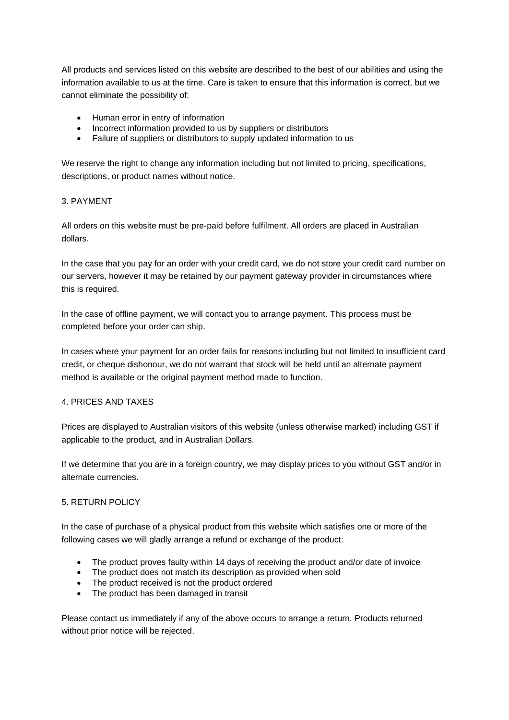All products and services listed on this website are described to the best of our abilities and using the information available to us at the time. Care is taken to ensure that this information is correct, but we cannot eliminate the possibility of:

- Human error in entry of information
- Incorrect information provided to us by suppliers or distributors
- Failure of suppliers or distributors to supply updated information to us

We reserve the right to change any information including but not limited to pricing, specifications, descriptions, or product names without notice.

## 3. PAYMENT

All orders on this website must be pre-paid before fulfilment. All orders are placed in Australian dollars.

In the case that you pay for an order with your credit card, we do not store your credit card number on our servers, however it may be retained by our payment gateway provider in circumstances where this is required.

In the case of offline payment, we will contact you to arrange payment. This process must be completed before your order can ship.

In cases where your payment for an order fails for reasons including but not limited to insufficient card credit, or cheque dishonour, we do not warrant that stock will be held until an alternate payment method is available or the original payment method made to function.

#### 4. PRICES AND TAXES

Prices are displayed to Australian visitors of this website (unless otherwise marked) including GST if applicable to the product, and in Australian Dollars.

If we determine that you are in a foreign country, we may display prices to you without GST and/or in alternate currencies.

#### 5. RETURN POLICY

In the case of purchase of a physical product from this website which satisfies one or more of the following cases we will gladly arrange a refund or exchange of the product:

- The product proves faulty within 14 days of receiving the product and/or date of invoice
- The product does not match its description as provided when sold
- The product received is not the product ordered
- The product has been damaged in transit

Please contact us immediately if any of the above occurs to arrange a return. Products returned without prior notice will be rejected.